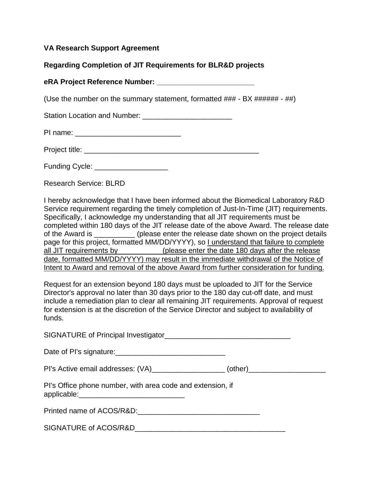## **VA Research Support Agreement**

## **Regarding Completion of JIT Requirements for BLR&D projects**

## **eRA Project Reference Number: \_\_\_\_\_\_\_\_\_\_\_\_\_\_\_\_\_\_\_\_\_\_\_\_**

(Use the number on the summary statement, formatted ### - BX ###### - ##)

Station Location and Number: \_\_\_\_\_\_\_\_\_\_\_\_\_\_\_\_\_\_\_\_\_\_

| Project title: |  |
|----------------|--|
|                |  |

Funding Cycle: \_\_\_\_\_\_\_\_\_\_\_\_\_\_\_\_\_\_

Research Service: BLRD

I hereby acknowledge that I have been informed about the Biomedical Laboratory R&D Service requirement regarding the timely completion of Just-In-Time (JIT) requirements. Specifically, I acknowledge my understanding that all JIT requirements must be completed within 180 days of the JIT release date of the above Award. The release date of the Award is \_\_\_\_\_\_\_\_\_\_ (please enter the release date shown on the project details page for this project, formatted MM/DD/YYYY), so I understand that failure to complete all JIT requirements by \_\_\_\_\_\_\_\_\_\_\_\_(please enter the date 180 days after the release date, formatted MM/DD/YYYY) may result in the immediate withdrawal of the Notice of Intent to Award and removal of the above Award from further consideration for funding.

Request for an extension beyond 180 days must be uploaded to JIT for the Service Director's approval no later than 30 days prior to the 180 day cut-off date, and must include a remediation plan to clear all remaining JIT requirements. Approval of request for extension is at the discretion of the Service Director and subject to availability of funds.

| SIGNATURE of Principal Investigator_ |  |
|--------------------------------------|--|
|--------------------------------------|--|

PI's Active email addresses: (VA)\_\_\_\_\_\_\_\_\_\_\_\_\_\_\_\_\_\_\_ (other)\_\_\_\_\_\_\_\_\_\_\_\_\_\_\_\_\_\_\_\_

|             |  |  |  | PI's Office phone number, with area code and extension, if |  |
|-------------|--|--|--|------------------------------------------------------------|--|
| applicable: |  |  |  |                                                            |  |

Printed name of ACOS/R&D:\_\_\_\_\_\_\_\_\_\_\_\_\_\_\_\_\_\_\_\_\_\_\_\_\_\_\_\_\_\_